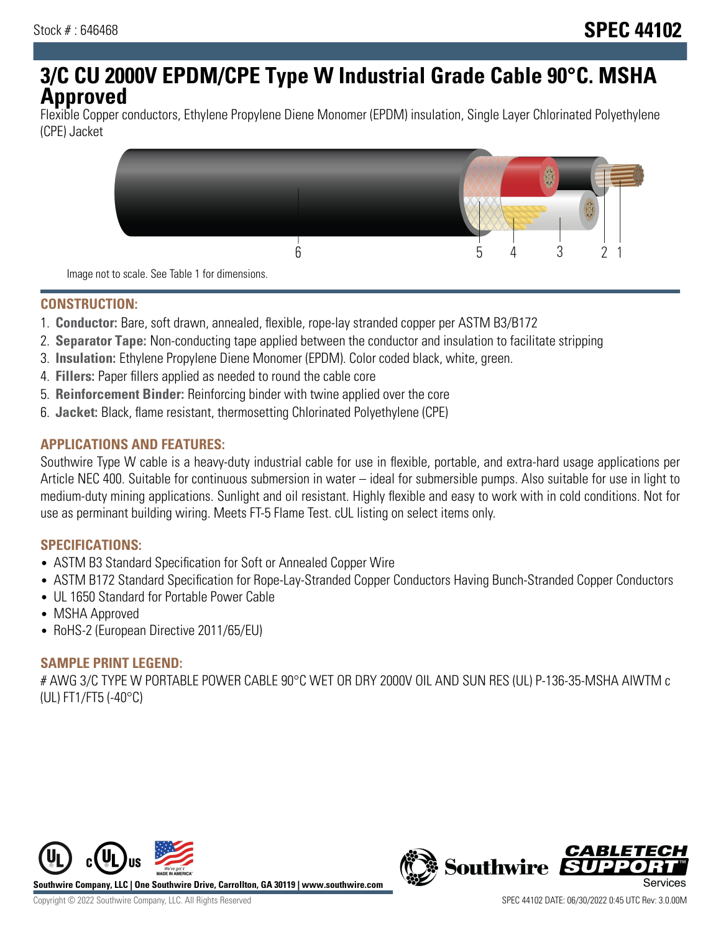# **3/C CU 2000V EPDM/CPE Type W Industrial Grade Cable 90°C. MSHA Approved**

Flexible Copper conductors, Ethylene Propylene Diene Monomer (EPDM) insulation, Single Layer Chlorinated Polyethylene (CPE) Jacket



Image not to scale. See Table 1 for dimensions.

#### **CONSTRUCTION:**

- 1. **Conductor:** Bare, soft drawn, annealed, flexible, rope-lay stranded copper per ASTM B3/B172
- 2. **Separator Tape:** Non-conducting tape applied between the conductor and insulation to facilitate stripping
- 3. **Insulation:** Ethylene Propylene Diene Monomer (EPDM). Color coded black, white, green.
- 4. **Fillers:** Paper fillers applied as needed to round the cable core
- 5. **Reinforcement Binder:** Reinforcing binder with twine applied over the core
- 6. **Jacket:** Black, flame resistant, thermosetting Chlorinated Polyethylene (CPE)

#### **APPLICATIONS AND FEATURES:**

Southwire Type W cable is a heavy-duty industrial cable for use in flexible, portable, and extra-hard usage applications per Article NEC 400. Suitable for continuous submersion in water – ideal for submersible pumps. Also suitable for use in light to medium-duty mining applications. Sunlight and oil resistant. Highly flexible and easy to work with in cold conditions. Not for use as perminant building wiring. Meets FT-5 Flame Test. cUL listing on select items only.

#### **SPECIFICATIONS:**

- ASTM B3 Standard Specification for Soft or Annealed Copper Wire
- ASTM B172 Standard Specification for Rope-Lay-Stranded Copper Conductors Having Bunch-Stranded Copper Conductors
- UL 1650 Standard for Portable Power Cable
- MSHA Approved
- RoHS-2 (European Directive 2011/65/EU)

### **SAMPLE PRINT LEGEND:**

# AWG 3/C TYPE W PORTABLE POWER CABLE 90°C WET OR DRY 2000V OIL AND SUN RES (UL) P-136-35-MSHA AIWTM c (UL) FT1/FT5 (-40°C)